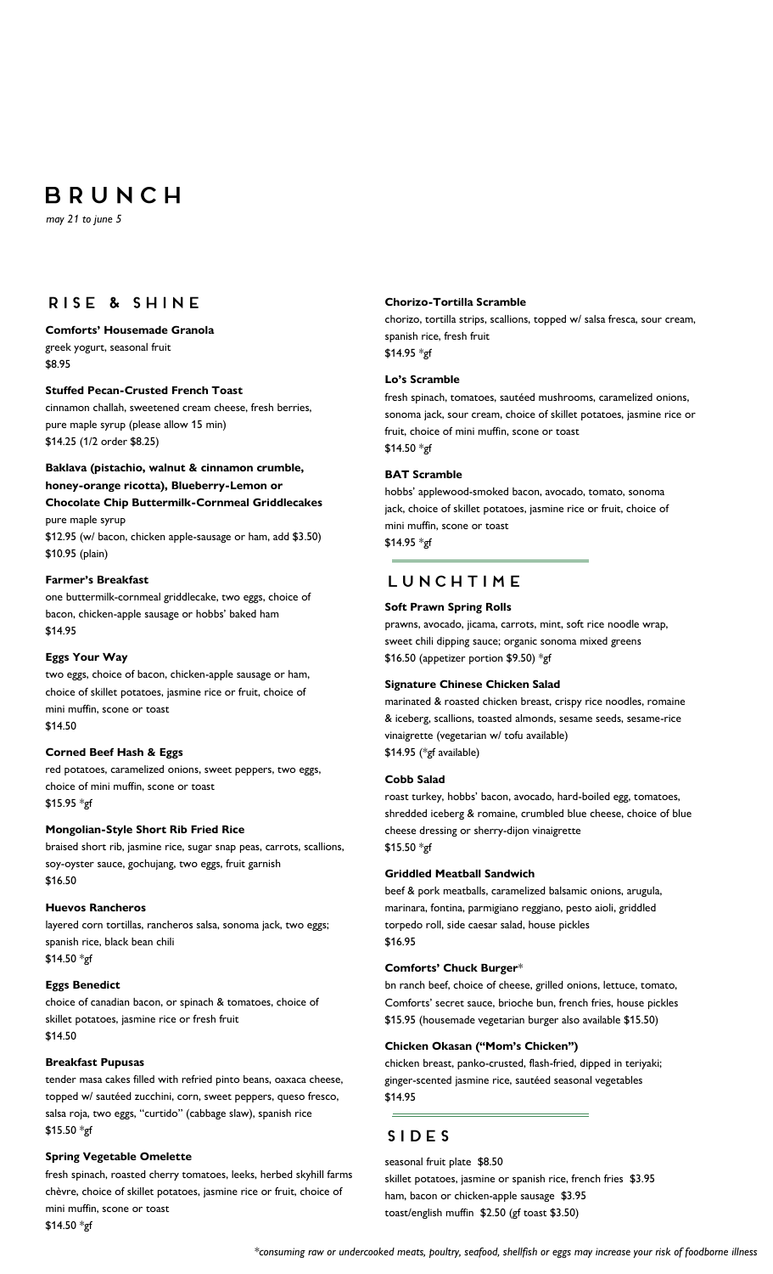# BRUNCH

 *may 21 to june 5*

# RISE & SHINE

### **Comforts' Housemade Granola** greek yogurt, seasonal fruit

\$8.95

#### **Stuffed Pecan-Crusted French Toast**

cinnamon challah, sweetened cream cheese, fresh berries, pure maple syrup (please allow 15 min) \$14.25 (1/2 order \$8.25)

#### **Baklava (pistachio, walnut & cinnamon crumble, honey-orange ricotta), Blueberry-Lemon or**

**Chocolate Chip Buttermilk-Cornmeal Griddlecakes** pure maple syrup

\$12.95 (w/ bacon, chicken apple-sausage or ham, add \$3.50) \$10.95 (plain)

#### **Farmer's Breakfast**

one buttermilk-cornmeal griddlecake, two eggs, choice of bacon, chicken-apple sausage or hobbs' baked ham \$14.95

#### **Eggs Your Way**

two eggs, choice of bacon, chicken-apple sausage or ham, choice of skillet potatoes, jasmine rice or fruit, choice of mini muffin, scone or toast \$14.50

### **Corned Beef Hash & Eggs**

red potatoes, caramelized onions, sweet peppers, two eggs, choice of mini muffin, scone or toast \$15.95 \*gf

#### **Mongolian-Style Short Rib Fried Rice**

braised short rib, jasmine rice, sugar snap peas, carrots, scallions, soy-oyster sauce, gochujang, two eggs, fruit garnish \$16.50

#### **Huevos Rancheros**

layered corn tortillas, rancheros salsa, sonoma jack, two eggs; spanish rice, black bean chili \$14.50 \*gf

#### **Eggs Benedict**

choice of canadian bacon, or spinach & tomatoes, choice of skillet potatoes, jasmine rice or fresh fruit \$14.50

#### **Breakfast Pupusas**

tender masa cakes filled with refried pinto beans, oaxaca cheese, topped w/ sautéed zucchini, corn, sweet peppers, queso fresco, salsa roja, two eggs, "curtido" (cabbage slaw), spanish rice \$15.50 \*gf

#### **Spring Vegetable Omelette**

fresh spinach, roasted cherry tomatoes, leeks, herbed skyhill farms chèvre, choice of skillet potatoes, jasmine rice or fruit, choice of mini muffin, scone or toast

\$14.50 \*gf

#### **Chorizo-Tortilla Scramble**

chorizo, tortilla strips, scallions, topped w/ salsa fresca, sour cream, spanish rice, fresh fruit \$14.95 \*gf

#### **Lo's Scramble**

fresh spinach, tomatoes, sautéed mushrooms, caramelized onions, sonoma jack, sour cream, choice of skillet potatoes, jasmine rice or fruit, choice of mini muffin, scone or toast \$14.50 \*gf

#### **BAT Scramble**

hobbs' applewood-smoked bacon, avocado, tomato, sonoma jack, choice of skillet potatoes, jasmine rice or fruit, choice of mini muffin, scone or toast \$14.95 \*gf

# LUNCHTIME

#### **Soft Prawn Spring Rolls**

prawns, avocado, jicama, carrots, mint, soft rice noodle wrap, sweet chili dipping sauce; organic sonoma mixed greens \$16.50 (appetizer portion \$9.50) \*gf

#### **Signature Chinese Chicken Salad**

marinated & roasted chicken breast, crispy rice noodles, romaine & iceberg, scallions, toasted almonds, sesame seeds, sesame-rice vinaigrette (vegetarian w/ tofu available) \$14.95 (\*gf available)

#### **Cobb Salad**

roast turkey, hobbs' bacon, avocado, hard-boiled egg, tomatoes, shredded iceberg & romaine, crumbled blue cheese, choice of blue cheese dressing or sherry-dijon vinaigrette \$15.50 \*gf

#### **Griddled Meatball Sandwich**

beef & pork meatballs, caramelized balsamic onions, arugula, marinara, fontina, parmigiano reggiano, pesto aioli, griddled torpedo roll, side caesar salad, house pickles \$16.95

#### **Comforts' Chuck Burger**\*

bn ranch beef, choice of cheese, grilled onions, lettuce, tomato, Comforts' secret sauce, brioche bun, french fries, house pickles \$15.95 (housemade vegetarian burger also available \$15.50)

#### **Chicken Okasan ("Mom's Chicken")**

chicken breast, panko-crusted, flash-fried, dipped in teriyaki; ginger-scented jasmine rice, sautéed seasonal vegetables \$14.95

# SIDES

#### seasonal fruit plate \$8.50

skillet potatoes, jasmine or spanish rice, french fries \$3.95 ham, bacon or chicken-apple sausage \$3.95 toast/english muffin \$2.50 (gf toast \$3.50)